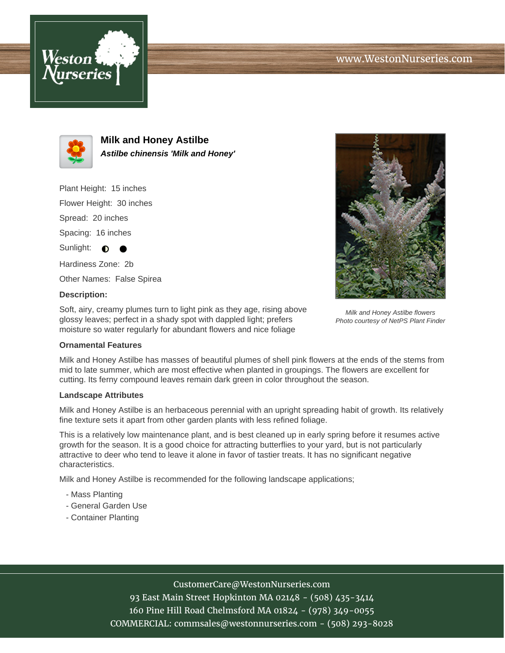



**Milk and Honey Astilbe Astilbe chinensis 'Milk and Honey'**

Plant Height: 15 inches

Flower Height: 30 inches

Spread: 20 inches

Spacing: 16 inches

Sunlight:  $\bigcirc$ 

Hardiness Zone: 2b

Other Names: False Spirea

### **Description:**

Soft, airy, creamy plumes turn to light pink as they age, rising above glossy leaves; perfect in a shady spot with dappled light; prefers moisture so water regularly for abundant flowers and nice foliage



### **Ornamental Features**

Milk and Honey Astilbe has masses of beautiful plumes of shell pink flowers at the ends of the stems from mid to late summer, which are most effective when planted in groupings. The flowers are excellent for cutting. Its ferny compound leaves remain dark green in color throughout the season.

### **Landscape Attributes**

Milk and Honey Astilbe is an herbaceous perennial with an upright spreading habit of growth. Its relatively fine texture sets it apart from other garden plants with less refined foliage.

This is a relatively low maintenance plant, and is best cleaned up in early spring before it resumes active growth for the season. It is a good choice for attracting butterflies to your yard, but is not particularly attractive to deer who tend to leave it alone in favor of tastier treats. It has no significant negative characteristics.

Milk and Honey Astilbe is recommended for the following landscape applications;

- Mass Planting
- General Garden Use
- Container Planting

# CustomerCare@WestonNurseries.com

93 East Main Street Hopkinton MA 02148 - (508) 435-3414 160 Pine Hill Road Chelmsford MA 01824 - (978) 349-0055 COMMERCIAL: commsales@westonnurseries.com - (508) 293-8028